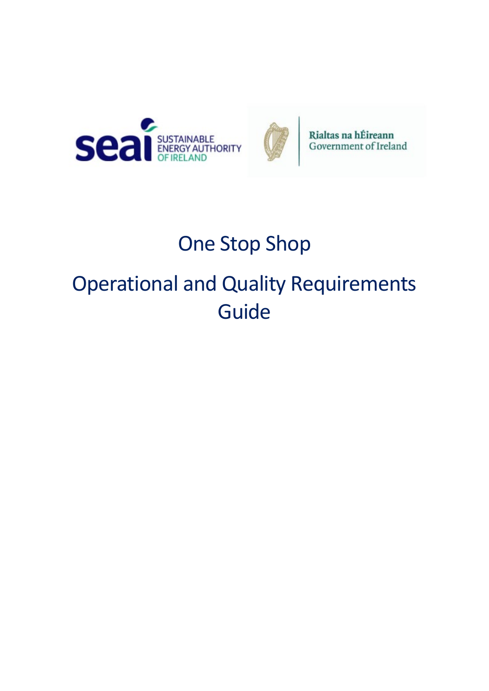



Rialtas na hÉireann<br>Government of Ireland

# One Stop Shop

# Operational and Quality Requirements Guide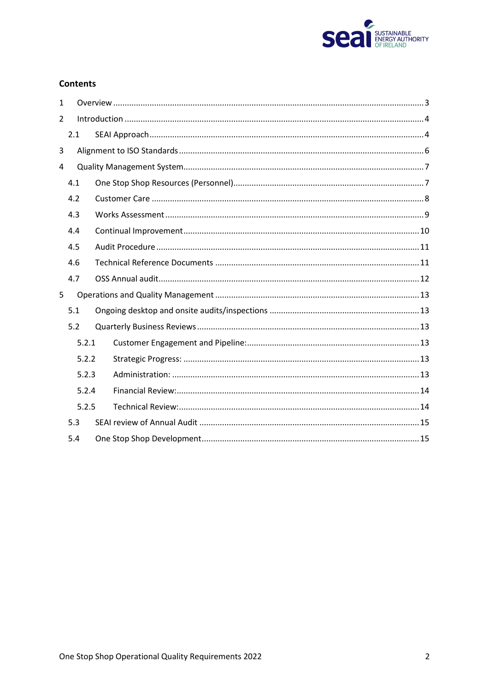

## **Contents**

| $\mathbf{1}$ |       |  |  |  |
|--------------|-------|--|--|--|
| 2            |       |  |  |  |
|              | 2.1   |  |  |  |
| 3            |       |  |  |  |
| 4            |       |  |  |  |
|              | 4.1   |  |  |  |
|              | 4.2   |  |  |  |
|              | 4.3   |  |  |  |
|              | 4.4   |  |  |  |
|              | 4.5   |  |  |  |
|              | 4.6   |  |  |  |
|              | 4.7   |  |  |  |
| 5            |       |  |  |  |
|              | 5.1   |  |  |  |
|              | 5.2   |  |  |  |
|              | 5.2.1 |  |  |  |
|              | 5.2.2 |  |  |  |
|              | 5.2.3 |  |  |  |
|              | 5.2.4 |  |  |  |
|              | 5.2.5 |  |  |  |
|              | 5.3   |  |  |  |
|              | 5.4   |  |  |  |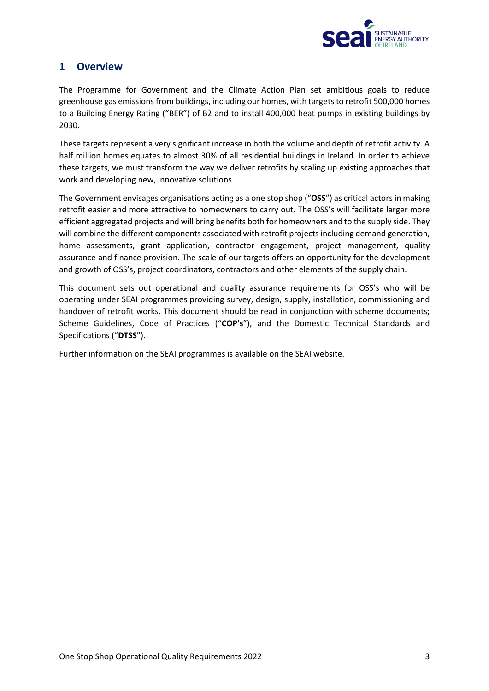

# <span id="page-2-0"></span>**1 Overview**

The Programme for Government and the Climate Action Plan set ambitious goals to reduce greenhouse gas emissions from buildings, including our homes, with targets to retrofit 500,000 homes to a Building Energy Rating ("BER") of B2 and to install 400,000 heat pumps in existing buildings by 2030.

These targets represent a very significant increase in both the volume and depth of retrofit activity. A half million homes equates to almost 30% of all residential buildings in Ireland. In order to achieve these targets, we must transform the way we deliver retrofits by scaling up existing approaches that work and developing new, innovative solutions.

The Government envisages organisations acting as a one stop shop ("**OSS**") as critical actors in making retrofit easier and more attractive to homeowners to carry out. The OSS's will facilitate larger more efficient aggregated projects and will bring benefits both for homeowners and to the supply side. They will combine the different components associated with retrofit projects including demand generation, home assessments, grant application, contractor engagement, project management, quality assurance and finance provision. The scale of our targets offers an opportunity for the development and growth of OSS's, project coordinators, contractors and other elements of the supply chain.

This document sets out operational and quality assurance requirements for OSS's who will be operating under SEAI programmes providing survey, design, supply, installation, commissioning and handover of retrofit works. This document should be read in conjunction with scheme documents; Scheme Guidelines, Code of Practices ("**COP's**"), and the Domestic Technical Standards and Specifications ("**DTSS**").

Further information on the SEAI programmes is available on the SEAI website.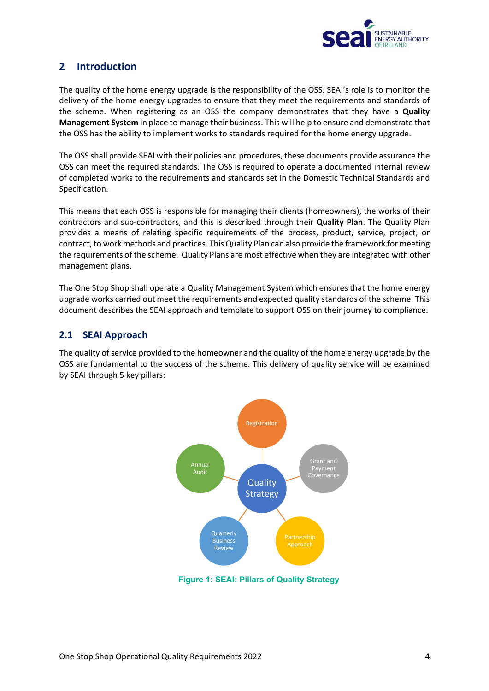

# <span id="page-3-0"></span>**2 Introduction**

The quality of the home energy upgrade is the responsibility of the OSS. SEAI's role is to monitor the delivery of the home energy upgrades to ensure that they meet the requirements and standards of the scheme. When registering as an OSS the company demonstrates that they have a **Quality Management System** in place to manage their business. This will help to ensure and demonstrate that the OSS has the ability to implement works to standards required for the home energy upgrade.

The OSS shall provide SEAI with their policies and procedures, these documents provide assurance the OSS can meet the required standards. The OSS is required to operate a documented internal review of completed works to the requirements and standards set in the Domestic Technical Standards and Specification.

This means that each OSS is responsible for managing their clients (homeowners), the works of their contractors and sub-contractors, and this is described through their **Quality Plan**. The Quality Plan provides a means of relating specific requirements of the process, product, service, project, or contract, to work methods and practices. This Quality Plan can also provide the framework for meeting the requirements of the scheme. Quality Plans are most effective when they are integrated with other management plans.

The One Stop Shop shall operate a Quality Management System which ensures that the home energy upgrade works carried out meet the requirements and expected quality standards of the scheme. This document describes the SEAI approach and template to support OSS on their journey to compliance.

# <span id="page-3-1"></span>**2.1 SEAI Approach**

The quality of service provided to the homeowner and the quality of the home energy upgrade by the OSS are fundamental to the success of the scheme. This delivery of quality service will be examined by SEAI through 5 key pillars:



**Figure 1: SEAI: Pillars of Quality Strategy**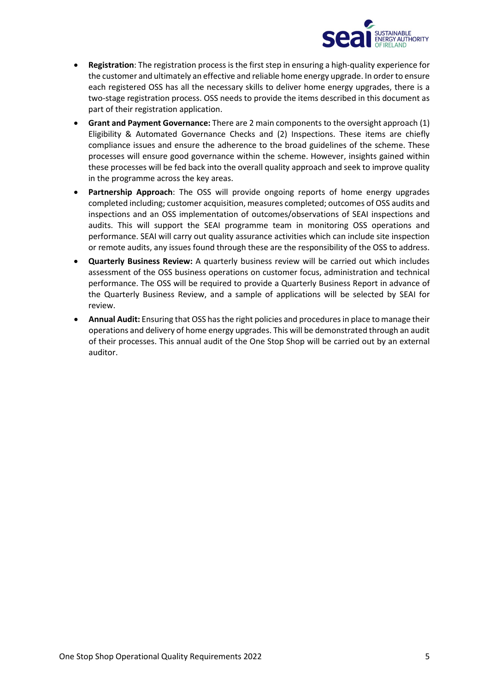

- **Registration**: The registration process is the first step in ensuring a high-quality experience for the customer and ultimately an effective and reliable home energy upgrade. In order to ensure each registered OSS has all the necessary skills to deliver home energy upgrades, there is a two-stage registration process. OSS needs to provide the items described in this document as part of their registration application.
- **Grant and Payment Governance:** There are 2 main components to the oversight approach (1) Eligibility & Automated Governance Checks and (2) Inspections. These items are chiefly compliance issues and ensure the adherence to the broad guidelines of the scheme. These processes will ensure good governance within the scheme. However, insights gained within these processes will be fed back into the overall quality approach and seek to improve quality in the programme across the key areas.
- **Partnership Approach**: The OSS will provide ongoing reports of home energy upgrades completed including; customer acquisition, measures completed; outcomes of OSS audits and inspections and an OSS implementation of outcomes/observations of SEAI inspections and audits. This will support the SEAI programme team in monitoring OSS operations and performance. SEAI will carry out quality assurance activities which can include site inspection or remote audits, any issues found through these are the responsibility of the OSS to address.
- **Quarterly Business Review:** A quarterly business review will be carried out which includes assessment of the OSS business operations on customer focus, administration and technical performance. The OSS will be required to provide a Quarterly Business Report in advance of the Quarterly Business Review, and a sample of applications will be selected by SEAI for review.
- **Annual Audit:** Ensuring that OSS has the right policies and procedures in place to manage their operations and delivery of home energy upgrades. This will be demonstrated through an audit of their processes. This annual audit of the One Stop Shop will be carried out by an external auditor.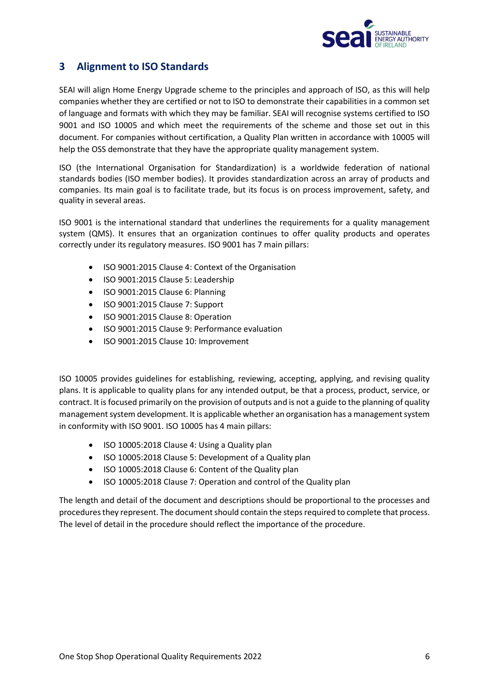

# <span id="page-5-0"></span>**3 Alignment to ISO Standards**

SEAI will align Home Energy Upgrade scheme to the principles and approach of ISO, as this will help companies whether they are certified or not to ISO to demonstrate their capabilities in a common set of language and formats with which they may be familiar. SEAI will recognise systems certified to ISO 9001 and ISO 10005 and which meet the requirements of the scheme and those set out in this document. For companies without certification, a Quality Plan written in accordance with 10005 will help the OSS demonstrate that they have the appropriate quality management system.

ISO (the International Organisation for Standardization) is a worldwide federation of national standards bodies (ISO member bodies). It provides standardization across an array of products and companies. Its main goal is to facilitate trade, but its focus is on process improvement, safety, and quality in several areas.

ISO 9001 is the international standard that underlines the requirements for a quality management system (QMS). It ensures that an organization continues to offer quality products and operates correctly under its regulatory measures. ISO 9001 has 7 main pillars:

- ISO 9001:2015 Clause 4: Context of the Organisation
- ISO 9001:2015 Clause 5: Leadership
- ISO 9001:2015 Clause 6: Planning
- ISO 9001:2015 Clause 7: Support
- ISO 9001:2015 Clause 8: Operation
- ISO 9001:2015 Clause 9: Performance evaluation
- ISO 9001:2015 Clause 10: Improvement

ISO 10005 provides guidelines for establishing, reviewing, accepting, applying, and revising quality plans. It is applicable to quality plans for any intended output, be that a process, product, service, or contract. It is focused primarily on the provision of outputs and is not a guide to the planning of quality management system development. It is applicable whether an organisation has a management system in conformity with ISO 9001. ISO 10005 has 4 main pillars:

- ISO 10005:2018 Clause 4: Using a Quality plan
- ISO 10005:2018 Clause 5: Development of a Quality plan
- ISO 10005:2018 Clause 6: Content of the Quality plan
- ISO 10005:2018 Clause 7: Operation and control of the Quality plan

The length and detail of the document and descriptions should be proportional to the processes and procedures they represent. The document should contain the steps required to complete that process. The level of detail in the procedure should reflect the importance of the procedure.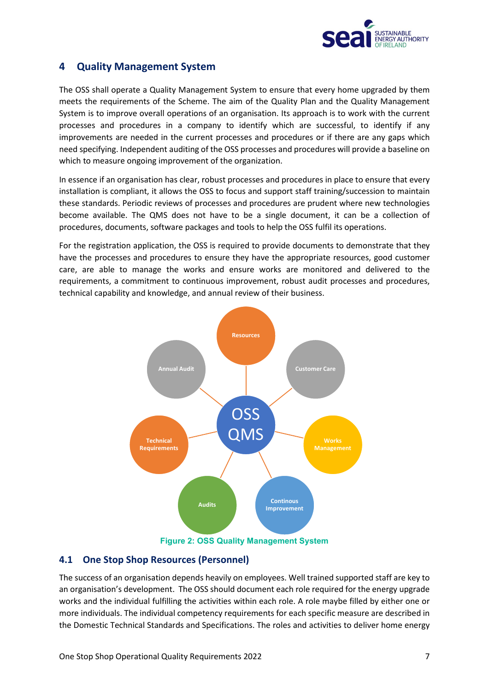

# <span id="page-6-0"></span>**4 Quality Management System**

The OSS shall operate a Quality Management System to ensure that every home upgraded by them meets the requirements of the Scheme. The aim of the Quality Plan and the Quality Management System is to improve overall operations of an organisation. Its approach is to work with the current processes and procedures in a company to identify which are successful, to identify if any improvements are needed in the current processes and procedures or if there are any gaps which need specifying. Independent auditing of the OSS processes and procedures will provide a baseline on which to measure ongoing improvement of the organization.

In essence if an organisation has clear, robust processes and procedures in place to ensure that every installation is compliant, it allows the OSS to focus and support staff training/succession to maintain these standards. Periodic reviews of processes and procedures are prudent where new technologies become available. The QMS does not have to be a single document, it can be a collection of procedures, documents, software packages and tools to help the OSS fulfil its operations.

For the registration application, the OSS is required to provide documents to demonstrate that they have the processes and procedures to ensure they have the appropriate resources, good customer care, are able to manage the works and ensure works are monitored and delivered to the requirements, a commitment to continuous improvement, robust audit processes and procedures, technical capability and knowledge, and annual review of their business.



# <span id="page-6-1"></span>**4.1 One Stop Shop Resources (Personnel)**

The success of an organisation depends heavily on employees. Well trained supported staff are key to an organisation's development. The OSS should document each role required for the energy upgrade works and the individual fulfilling the activities within each role. A role maybe filled by either one or more individuals. The individual competency requirements for each specific measure are described in the Domestic Technical Standards and Specifications. The roles and activities to deliver home energy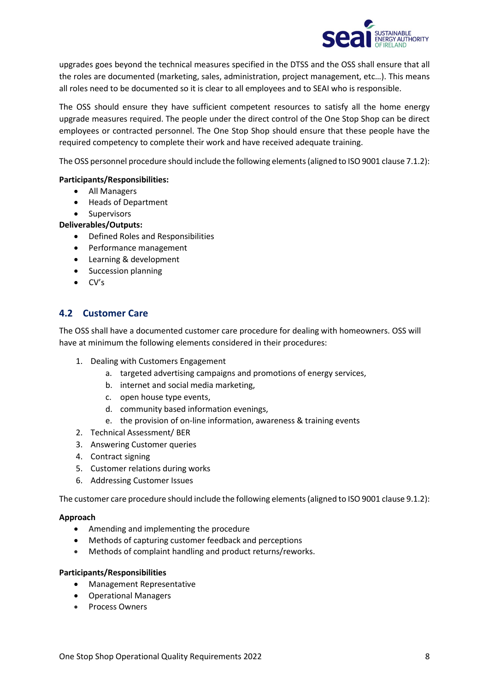

upgrades goes beyond the technical measures specified in the DTSS and the OSS shall ensure that all the roles are documented (marketing, sales, administration, project management, etc…). This means all roles need to be documented so it is clear to all employees and to SEAI who is responsible.

The OSS should ensure they have sufficient competent resources to satisfy all the home energy upgrade measures required. The people under the direct control of the One Stop Shop can be direct employees or contracted personnel. The One Stop Shop should ensure that these people have the required competency to complete their work and have received adequate training.

The OSS personnel procedure should include the following elements (aligned to ISO 9001 clause 7.1.2):

#### **Participants/Responsibilities:**

- All Managers
- Heads of Department
- Supervisors

#### **Deliverables/Outputs:**

- Defined Roles and Responsibilities
- Performance management
- Learning & development
- Succession planning
- CV's

# <span id="page-7-0"></span>**4.2 Customer Care**

The OSS shall have a documented customer care procedure for dealing with homeowners. OSS will have at minimum the following elements considered in their procedures:

- 1. Dealing with Customers Engagement
	- a. targeted advertising campaigns and promotions of energy services,
	- b. internet and social media marketing,
	- c. open house type events,
	- d. community based information evenings,
	- e. the provision of on-line information, awareness & training events
- 2. Technical Assessment/ BER
- 3. Answering Customer queries
- 4. Contract signing
- 5. Customer relations during works
- 6. Addressing Customer Issues

The customer care procedure should include the following elements (aligned to ISO 9001 clause 9.1.2):

#### **Approach**

- Amending and implementing the procedure
- Methods of capturing customer feedback and perceptions
- Methods of complaint handling and product returns/reworks.

#### **Participants/Responsibilities**

- Management Representative
- Operational Managers
- Process Owners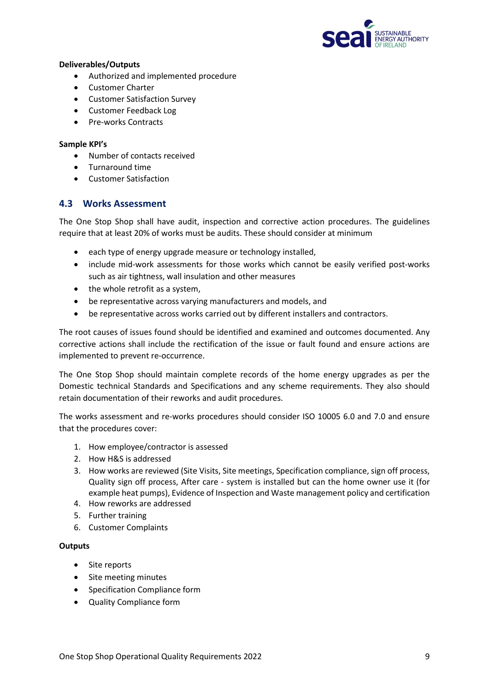

#### **Deliverables/Outputs**

- Authorized and implemented procedure
- Customer Charter
- Customer Satisfaction Survey
- Customer Feedback Log
- Pre-works Contracts

#### **Sample KPI's**

- Number of contacts received
- Turnaround time
- Customer Satisfaction

# <span id="page-8-0"></span>**4.3 Works Assessment**

The One Stop Shop shall have audit, inspection and corrective action procedures. The guidelines require that at least 20% of works must be audits. These should consider at minimum

- each type of energy upgrade measure or technology installed,
- include mid-work assessments for those works which cannot be easily verified post-works such as air tightness, wall insulation and other measures
- the whole retrofit as a system,
- be representative across varying manufacturers and models, and
- be representative across works carried out by different installers and contractors.

The root causes of issues found should be identified and examined and outcomes documented. Any corrective actions shall include the rectification of the issue or fault found and ensure actions are implemented to prevent re-occurrence.

The One Stop Shop should maintain complete records of the home energy upgrades as per the Domestic technical Standards and Specifications and any scheme requirements. They also should retain documentation of their reworks and audit procedures.

The works assessment and re-works procedures should consider ISO 10005 6.0 and 7.0 and ensure that the procedures cover:

- 1. How employee/contractor is assessed
- 2. How H&S is addressed
- 3. How works are reviewed (Site Visits, Site meetings, Specification compliance, sign off process, Quality sign off process, After care - system is installed but can the home owner use it (for example heat pumps), Evidence of Inspection and Waste management policy and certification
- 4. How reworks are addressed
- 5. Further training
- 6. Customer Complaints

#### **Outputs**

- Site reports
- Site meeting minutes
- Specification Compliance form
- Quality Compliance form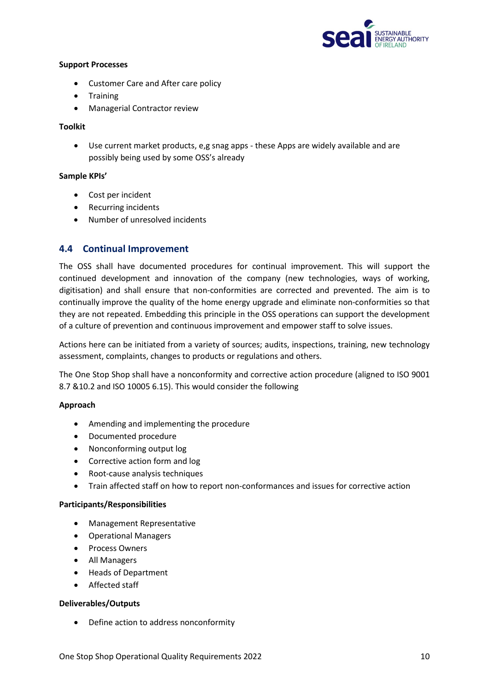

#### **Support Processes**

- Customer Care and After care policy
- Training
- Managerial Contractor review

#### **Toolkit**

• Use current market products, e,g snag apps - these Apps are widely available and are possibly being used by some OSS's already

#### **Sample KPIs'**

- Cost per incident
- Recurring incidents
- Number of unresolved incidents

#### <span id="page-9-0"></span>**4.4 Continual Improvement**

The OSS shall have documented procedures for continual improvement. This will support the continued development and innovation of the company (new technologies, ways of working, digitisation) and shall ensure that non-conformities are corrected and prevented. The aim is to continually improve the quality of the home energy upgrade and eliminate non-conformities so that they are not repeated. Embedding this principle in the OSS operations can support the development of a culture of prevention and continuous improvement and empower staff to solve issues.

Actions here can be initiated from a variety of sources; audits, inspections, training, new technology assessment, complaints, changes to products or regulations and others.

The One Stop Shop shall have a nonconformity and corrective action procedure (aligned to ISO 9001 8.7 &10.2 and ISO 10005 6.15). This would consider the following

#### **Approach**

- Amending and implementing the procedure
- Documented procedure
- Nonconforming output log
- Corrective action form and log
- Root-cause analysis techniques
- Train affected staff on how to report non-conformances and issues for corrective action

#### **Participants/Responsibilities**

- Management Representative
- Operational Managers
- Process Owners
- All Managers
- Heads of Department
- Affected staff

#### **Deliverables/Outputs**

• Define action to address nonconformity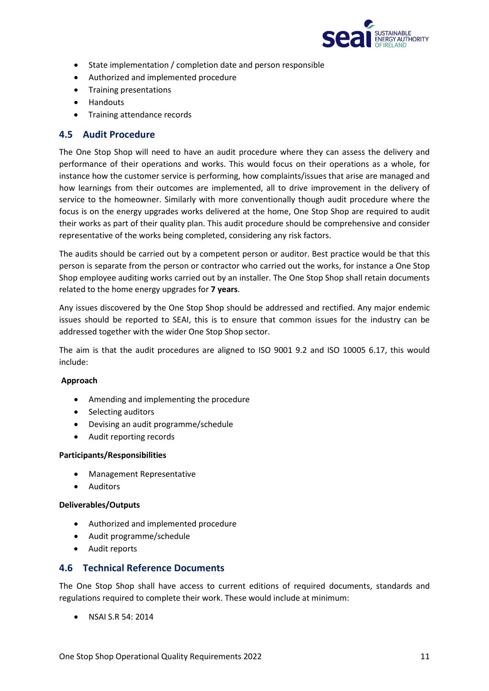

- State implementation / completion date and person responsible
- Authorized and implemented procedure
- Training presentations
- Handouts
- Training attendance records

#### <span id="page-10-0"></span>**4.5 Audit Procedure**

The One Stop Shop will need to have an audit procedure where they can assess the delivery and performance of their operations and works. This would focus on their operations as a whole, for instance how the customer service is performing, how complaints/issues that arise are managed and how learnings from their outcomes are implemented, all to drive improvement in the delivery of service to the homeowner. Similarly with more conventionally though audit procedure where the focus is on the energy upgrades works delivered at the home, One Stop Shop are required to audit their works as part of their quality plan. This audit procedure should be comprehensive and consider representative of the works being completed, considering any risk factors.

The audits should be carried out by a competent person or auditor. Best practice would be that this person is separate from the person or contractor who carried out the works, for instance a One Stop Shop employee auditing works carried out by an installer. The One Stop Shop shall retain documents related to the home energy upgrades for **7 years**.

Any issues discovered by the One Stop Shop should be addressed and rectified. Any major endemic issues should be reported to SEAI, this is to ensure that common issues for the industry can be addressed together with the wider One Stop Shop sector.

The aim is that the audit procedures are aligned to ISO 9001 9.2 and ISO 10005 6.17, this would include:

#### **Approach**

- Amending and implementing the procedure
- Selecting auditors
- Devising an audit programme/schedule
- Audit reporting records

#### **Participants/Responsibilities**

- Management Representative
- Auditors

#### **Deliverables/Outputs**

- Authorized and implemented procedure
- Audit programme/schedule
- Audit reports

#### <span id="page-10-1"></span>**4.6 Technical Reference Documents**

The One Stop Shop shall have access to current editions of required documents, standards and regulations required to complete their work. These would include at minimum:

• NSAI S.R 54: 2014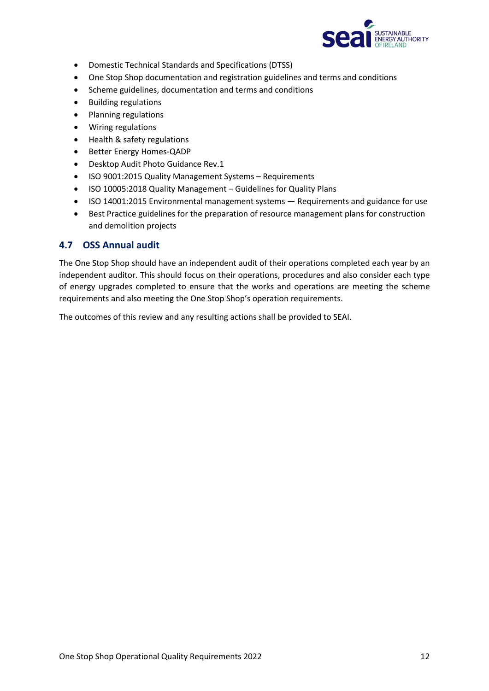

- Domestic Technical Standards and Specifications (DTSS)
- One Stop Shop documentation and registration guidelines and terms and conditions
- Scheme guidelines, documentation and terms and conditions
- Building regulations
- Planning regulations
- Wiring regulations
- Health & safety regulations
- Better Energy Homes-QADP
- Desktop Audit Photo Guidance Rev.1
- ISO 9001:2015 Quality Management Systems Requirements
- ISO 10005:2018 Quality Management Guidelines for Quality Plans
- ISO 14001:2015 Environmental management systems Requirements and guidance for use
- Best Practice guidelines for the preparation of resource management plans for construction and demolition projects

#### <span id="page-11-0"></span>**4.7 OSS Annual audit**

The One Stop Shop should have an independent audit of their operations completed each year by an independent auditor. This should focus on their operations, procedures and also consider each type of energy upgrades completed to ensure that the works and operations are meeting the scheme requirements and also meeting the One Stop Shop's operation requirements.

The outcomes of this review and any resulting actions shall be provided to SEAI.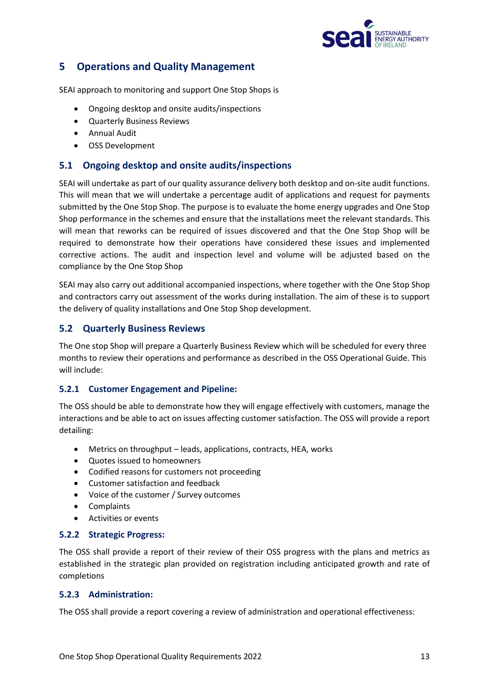

# <span id="page-12-0"></span>**5 Operations and Quality Management**

SEAI approach to monitoring and support One Stop Shops is

- Ongoing desktop and onsite audits/inspections
- Quarterly Business Reviews
- Annual Audit
- OSS Development

# <span id="page-12-1"></span>**5.1 Ongoing desktop and onsite audits/inspections**

SEAI will undertake as part of our quality assurance delivery both desktop and on-site audit functions. This will mean that we will undertake a percentage audit of applications and request for payments submitted by the One Stop Shop. The purpose is to evaluate the home energy upgrades and One Stop Shop performance in the schemes and ensure that the installations meet the relevant standards. This will mean that reworks can be required of issues discovered and that the One Stop Shop will be required to demonstrate how their operations have considered these issues and implemented corrective actions. The audit and inspection level and volume will be adjusted based on the compliance by the One Stop Shop

SEAI may also carry out additional accompanied inspections, where together with the One Stop Shop and contractors carry out assessment of the works during installation. The aim of these is to support the delivery of quality installations and One Stop Shop development.

# <span id="page-12-2"></span>**5.2 Quarterly Business Reviews**

The One stop Shop will prepare a Quarterly Business Review which will be scheduled for every three months to review their operations and performance as described in the OSS Operational Guide. This will include:

#### <span id="page-12-3"></span>**5.2.1 Customer Engagement and Pipeline:**

The OSS should be able to demonstrate how they will engage effectively with customers, manage the interactions and be able to act on issues affecting customer satisfaction. The OSS will provide a report detailing:

- Metrics on throughput leads, applications, contracts, HEA, works
- Quotes issued to homeowners
- Codified reasons for customers not proceeding
- Customer satisfaction and feedback
- Voice of the customer / Survey outcomes
- Complaints
- Activities or events

#### <span id="page-12-4"></span>**5.2.2 Strategic Progress:**

The OSS shall provide a report of their review of their OSS progress with the plans and metrics as established in the strategic plan provided on registration including anticipated growth and rate of completions

#### <span id="page-12-5"></span>**5.2.3 Administration:**

The OSS shall provide a report covering a review of administration and operational effectiveness: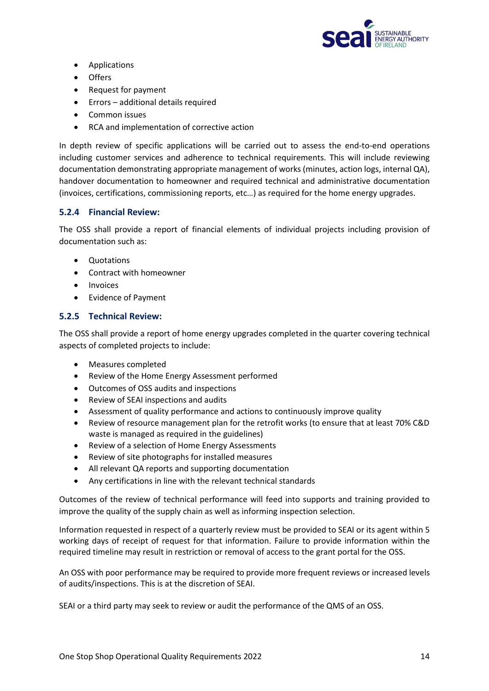

- Applications
- Offers
- Request for payment
- Errors additional details required
- Common issues
- RCA and implementation of corrective action

In depth review of specific applications will be carried out to assess the end-to-end operations including customer services and adherence to technical requirements. This will include reviewing documentation demonstrating appropriate management of works (minutes, action logs, internal QA), handover documentation to homeowner and required technical and administrative documentation (invoices, certifications, commissioning reports, etc…) as required for the home energy upgrades.

#### <span id="page-13-0"></span>**5.2.4 Financial Review:**

The OSS shall provide a report of financial elements of individual projects including provision of documentation such as:

- Quotations
- Contract with homeowner
- Invoices
- Evidence of Payment

#### <span id="page-13-1"></span>**5.2.5 Technical Review:**

The OSS shall provide a report of home energy upgrades completed in the quarter covering technical aspects of completed projects to include:

- Measures completed
- Review of the Home Energy Assessment performed
- Outcomes of OSS audits and inspections
- Review of SEAI inspections and audits
- Assessment of quality performance and actions to continuously improve quality
- Review of resource management plan for the retrofit works (to ensure that at least 70% C&D waste is managed as required in the guidelines)
- Review of a selection of Home Energy Assessments
- Review of site photographs for installed measures
- All relevant QA reports and supporting documentation
- Any certifications in line with the relevant technical standards

Outcomes of the review of technical performance will feed into supports and training provided to improve the quality of the supply chain as well as informing inspection selection.

Information requested in respect of a quarterly review must be provided to SEAI or its agent within 5 working days of receipt of request for that information. Failure to provide information within the required timeline may result in restriction or removal of access to the grant portal for the OSS.

An OSS with poor performance may be required to provide more frequent reviews or increased levels of audits/inspections. This is at the discretion of SEAI.

SEAI or a third party may seek to review or audit the performance of the QMS of an OSS.